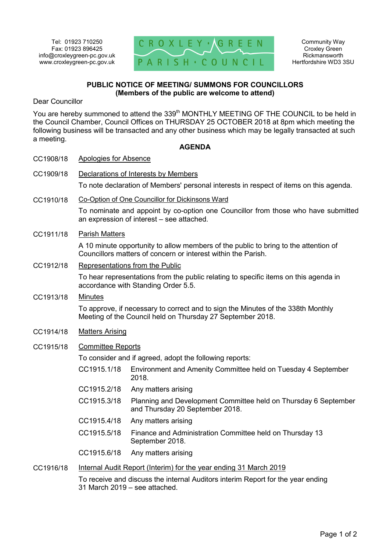

## **PUBLIC NOTICE OF MEETING/ SUMMONS FOR COUNCILLORS (Members of the public are welcome to attend)**

Dear Councillor

You are hereby summoned to attend the 339<sup>th</sup> MONTHLY MEETING OF THE COUNCIL to be held in the Council Chamber, Council Offices on THURSDAY 25 OCTOBER 2018 at 8pm which meeting the following business will be transacted and any other business which may be legally transacted at such a meeting.

## **AGENDA**

| CC1908/18 | <b>Apologies for Absence</b>                                                                                                                         |                                                                                                    |
|-----------|------------------------------------------------------------------------------------------------------------------------------------------------------|----------------------------------------------------------------------------------------------------|
| CC1909/18 | Declarations of Interests by Members                                                                                                                 |                                                                                                    |
|           | To note declaration of Members' personal interests in respect of items on this agenda.                                                               |                                                                                                    |
| CC1910/18 | Co-Option of One Councillor for Dickinsons Ward                                                                                                      |                                                                                                    |
|           | To nominate and appoint by co-option one Councillor from those who have submitted<br>an expression of interest - see attached.                       |                                                                                                    |
| CC1911/18 | <b>Parish Matters</b>                                                                                                                                |                                                                                                    |
|           | A 10 minute opportunity to allow members of the public to bring to the attention of<br>Councillors matters of concern or interest within the Parish. |                                                                                                    |
| CC1912/18 | Representations from the Public                                                                                                                      |                                                                                                    |
|           | To hear representations from the public relating to specific items on this agenda in<br>accordance with Standing Order 5.5.                          |                                                                                                    |
| CC1913/18 | <b>Minutes</b>                                                                                                                                       |                                                                                                    |
|           | To approve, if necessary to correct and to sign the Minutes of the 338th Monthly<br>Meeting of the Council held on Thursday 27 September 2018.       |                                                                                                    |
| CC1914/18 | <b>Matters Arising</b>                                                                                                                               |                                                                                                    |
| CC1915/18 | <b>Committee Reports</b>                                                                                                                             |                                                                                                    |
|           | To consider and if agreed, adopt the following reports:                                                                                              |                                                                                                    |
|           | CC1915.1/18                                                                                                                                          | Environment and Amenity Committee held on Tuesday 4 September<br>2018.                             |
|           | CC1915.2/18                                                                                                                                          | Any matters arising                                                                                |
|           | CC1915.3/18                                                                                                                                          | Planning and Development Committee held on Thursday 6 September<br>and Thursday 20 September 2018. |
|           | CC1915.4/18                                                                                                                                          | Any matters arising                                                                                |
|           | CC1915.5/18                                                                                                                                          | Finance and Administration Committee held on Thursday 13<br>September 2018.                        |
|           | CC1915.6/18                                                                                                                                          | Any matters arising                                                                                |
| CC1916/18 | Internal Audit Report (Interim) for the year ending 31 March 2019                                                                                    |                                                                                                    |
|           | To receive and discuss the internal Auditors interim Report for the year ending                                                                      |                                                                                                    |

31 March 2019 – see attached.